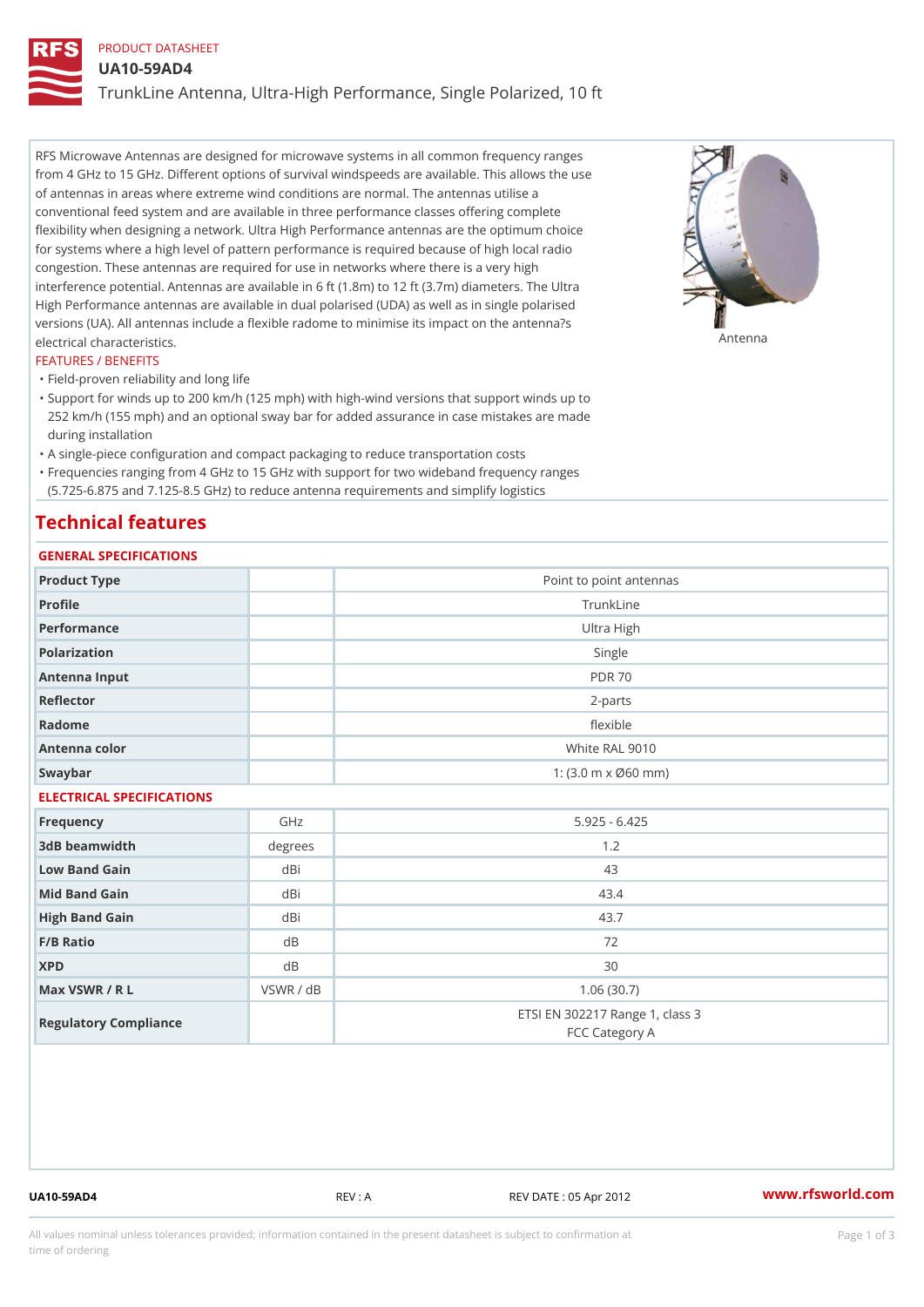## PRODUCT DATASHEET

UA10-59AD4

TrunkLine Antenna, Ultra-High Performance, Single Polarized, 10 ft

RFS Microwave Antennas are designed for microwave systems in all common frequency ranges from 4 GHz to 15 GHz. Different options of survival windspeeds are available. This allows the use of antennas in areas where extreme wind conditions are normal. The antennas utilise a conventional feed system and are available in three performance classes offering complete flexibility when designing a network. Ultra High Performance antennas are the optimum choice for systems where a high level of pattern performance is required because of high local radio congestion. These antennas are required for use in networks where there is a very high interference potential. Antennas are available in 6 ft (1.8m) to 12 ft (3.7m) diameters. The Ultra High Performance antennas are available in dual polarised (UDA) as well as in single polarised versions (UA). All antennas include a flexible radome to minimise its impact on the antenna?s electrical characteristics. Antenna

### FEATURES / BENEFITS

"Field-proven reliability and long life

- Support for winds up to 200 km/h (125 mph) with high-wind versions that support winds up to " 252 km/h (155 mph) and an optional sway bar for added assurance in case mistakes are made during installation
- "A single-piece configuration and compact packaging to reduce transportation costs
- Frequencies ranging from 4 GHz to 15 GHz with support for two wideband frequency ranges "
- (5.725-6.875 and 7.125-8.5 GHz) to reduce antenna requirements and simplify logistics

## Technical features

# GENERAL SPECIFICATIONS

| GENERAL SELGIFICATIONS    |           |                                                   |  |  |
|---------------------------|-----------|---------------------------------------------------|--|--|
| Product Type              |           | Point to point antennas                           |  |  |
| Profile                   |           | TrunkLine                                         |  |  |
| Performance               |           | Ultra High                                        |  |  |
| Polarization              |           | Single                                            |  |  |
| Antenna Input             |           | <b>PDR 70</b>                                     |  |  |
| Reflector                 |           | $2 - p$ arts                                      |  |  |
| Radome                    |           | flexible                                          |  |  |
| Antenna color             |           | White RAL 9010                                    |  |  |
| Swaybar                   |           | 1: $(3.0 m \times 060 mm)$                        |  |  |
| ELECTRICAL SPECIFICATIONS |           |                                                   |  |  |
| Frequency                 | GHz       | $5.925 - 6.425$                                   |  |  |
| 3dB beamwidth             | degrees   | 1.2                                               |  |  |
| Low Band Gain             | dBi       | 43                                                |  |  |
| Mid Band Gain             | dBi       | 43.4                                              |  |  |
| High Band Gain            | dBi       | 43.7                                              |  |  |
| F/B Ratio                 | d B       | 72                                                |  |  |
| <b>XPD</b>                | d B       | 30                                                |  |  |
| Max VSWR / R L            | VSWR / dB | 1.06(30.7)                                        |  |  |
| Regulatory Compliance     |           | ETSI EN 302217 Range 1, class 3<br>FCC Category A |  |  |

UA10-59AD4 REV : A REV DATE : 05 Apr 2012 [www.](https://www.rfsworld.com)rfsworld.com

All values nominal unless tolerances provided; information contained in the present datasheet is subject to Pcapgeign mation time of ordering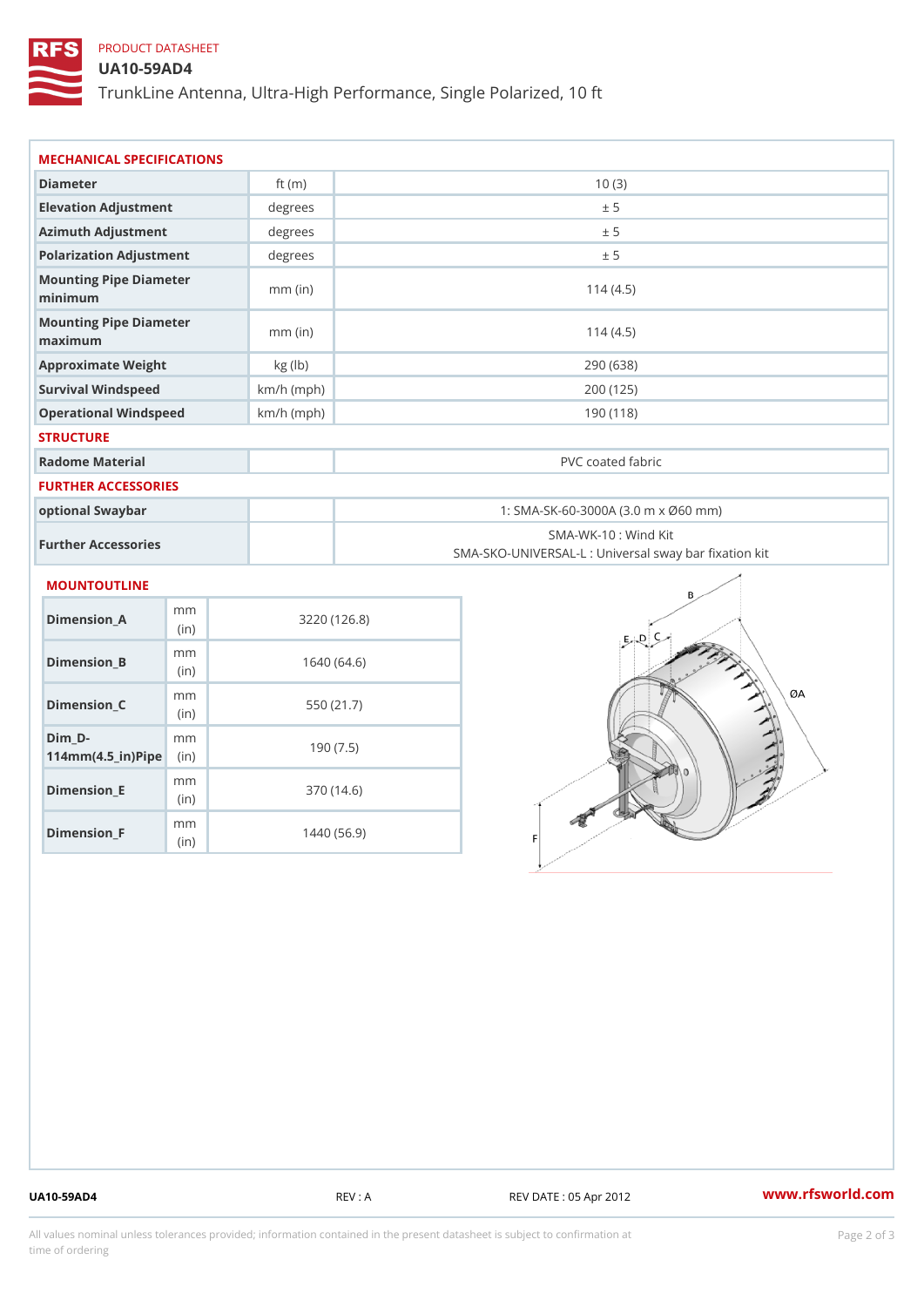# PRODUCT DATASHEET

## UA10-59AD4

TrunkLine Antenna, Ultra-High Performance, Single Polarized, 10 ft

| MECHANICAL SPECIFICATIONS                                                   |              |                                                                          |  |
|-----------------------------------------------------------------------------|--------------|--------------------------------------------------------------------------|--|
| Diameter                                                                    | ft $(m)$     | 10(3)                                                                    |  |
| Elevation Adjustment                                                        | degree:      | ± 5                                                                      |  |
| Azimuth Adjustment                                                          | degrees      | ± 5                                                                      |  |
| Polarization Adjustment                                                     | degree:      | ± 5                                                                      |  |
| Mounting Pipe Diameter<br>minimum                                           | $mm$ (in)    | 114(4.5)                                                                 |  |
| Mounting Pipe Diameter<br>maximum                                           | $mm$ (in)    | 114(4.5)                                                                 |  |
| Approximate Weight                                                          | kg (lb)      | 290 (638)                                                                |  |
| Survival Windspeed                                                          | $km/h$ (mph) | 200 (125)                                                                |  |
| Operational Windspeed                                                       | $km/h$ (mph) | 190(118)                                                                 |  |
| <b>STRUCTURE</b>                                                            |              |                                                                          |  |
| Radome Material                                                             |              | PVC coated fabric                                                        |  |
| FURTHER ACCESSORIES                                                         |              |                                                                          |  |
| optional Swaybar                                                            |              | 1: SMA-SK-60-3000A (3.0 m x Ø60 mm)                                      |  |
| Further Accessories                                                         |              | SMA-WK-10: Wind Kit<br>SMA-SKO-UNIVERSAL-L : Universal sway bar fixation |  |
| MOUNTOUTLINE                                                                |              |                                                                          |  |
| m m<br>Dimension_A<br>(in)                                                  |              | 3220(126.8)                                                              |  |
| m m<br>$Dimension_B$<br>(in)                                                |              | 1640(64.6)                                                               |  |
| m m<br>Dimension_C<br>(in)                                                  |              | 550 (21.7)                                                               |  |
| $Dim_D - D -$<br>m <sub>m</sub><br>$114$ m m (4.5 _ ir ) $\mathbb{R}$ imple |              | 190(7.5)                                                                 |  |
| m m<br>$D:mean = 1$                                                         |              | $270(110)$                                                               |  |

Dimension\_E

Dimension\_F

(in)

m<sub>m</sub> (in)

370 (14.6)

1440 (56.9)

UA10-59AD4 REV : A REV DATE : 05 Apr 2012 [www.](https://www.rfsworld.com)rfsworld.com